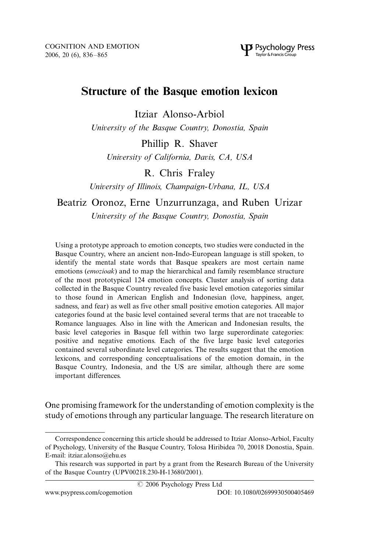# Structure of the Basque emotion lexicon

Itziar Alonso-Arbiol

University of the Basque Country, Donostia, Spain

Phillip R. Shaver

University of California, Davis, CA, USA

R. Chris Fraley

University of Illinois, Champaign-Urbana, IL, USA

Beatriz Oronoz, Erne Unzurrunzaga, and Ruben Urizar

University of the Basque Country, Donostia, Spain

Using a prototype approach to emotion concepts, two studies were conducted in the Basque Country, where an ancient non-Indo-European language is still spoken, to identify the mental state words that Basque speakers are most certain name emotions (*emozioak*) and to map the hierarchical and family resemblance structure of the most prototypical 124 emotion concepts. Cluster analysis of sorting data collected in the Basque Country revealed five basic level emotion categories similar to those found in American English and Indonesian (love, happiness, anger, sadness, and fear) as well as five other small positive emotion categories. All major categories found at the basic level contained several terms that are not traceable to Romance languages. Also in line with the American and Indonesian results, the basic level categories in Basque fell within two large superordinate categories: positive and negative emotions. Each of the five large basic level categories contained several subordinate level categories. The results suggest that the emotion lexicons, and corresponding conceptualisations of the emotion domain, in the Basque Country, Indonesia, and the US are similar, although there are some important differences.

One promising framework for the understanding of emotion complexity is the study of emotions through any particular language. The research literature on

Correspondence concerning this article should be addressed to Itziar Alonso-Arbiol, Faculty of Psychology, University of the Basque Country, Tolosa Hiribidea 70, 20018 Donostia, Spain. E-mail: itziar.alonso@ehu.es

This research was supported in part by a grant from the Research Bureau of the University of the Basque Country (UPV00218.230-H-13680/2001).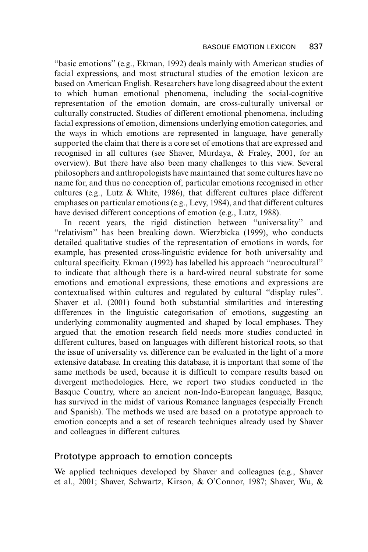''basic emotions'' (e.g., Ekman, 1992) deals mainly with American studies of facial expressions, and most structural studies of the emotion lexicon are based on American English. Researchers have long disagreed about the extent to which human emotional phenomena, including the social-cognitive representation of the emotion domain, are cross-culturally universal or culturally constructed. Studies of different emotional phenomena, including facial expressions of emotion, dimensions underlying emotion categories, and the ways in which emotions are represented in language, have generally supported the claim that there is a core set of emotions that are expressed and recognised in all cultures (see Shaver, Murdaya, & Fraley, 2001, for an overview). But there have also been many challenges to this view. Several philosophers and anthropologists have maintained that some cultures have no name for, and thus no conception of, particular emotions recognised in other cultures (e.g., Lutz & White, 1986), that different cultures place different emphases on particular emotions (e.g., Levy, 1984), and that different cultures have devised different conceptions of emotion (e.g., Lutz, 1988).

In recent years, the rigid distinction between ''universality'' and "relativism" has been breaking down. Wierzbicka (1999), who conducts detailed qualitative studies of the representation of emotions in words, for example, has presented cross-linguistic evidence for both universality and cultural specificity. Ekman (1992) has labelled his approach ''neurocultural'' to indicate that although there is a hard-wired neural substrate for some emotions and emotional expressions, these emotions and expressions are contextualised within cultures and regulated by cultural ''display rules''. Shaver et al. (2001) found both substantial similarities and interesting differences in the linguistic categorisation of emotions, suggesting an underlying commonality augmented and shaped by local emphases. They argued that the emotion research field needs more studies conducted in different cultures, based on languages with different historical roots, so that the issue of universality vs. difference can be evaluated in the light of a more extensive database. In creating this database, it is important that some of the same methods be used, because it is difficult to compare results based on divergent methodologies. Here, we report two studies conducted in the Basque Country, where an ancient non-Indo-European language, Basque, has survived in the midst of various Romance languages (especially French and Spanish). The methods we used are based on a prototype approach to emotion concepts and a set of research techniques already used by Shaver and colleagues in different cultures.

# Prototype approach to emotion concepts

We applied techniques developed by Shaver and colleagues (e.g., Shaver et al., 2001; Shaver, Schwartz, Kirson, & O'Connor, 1987; Shaver, Wu, &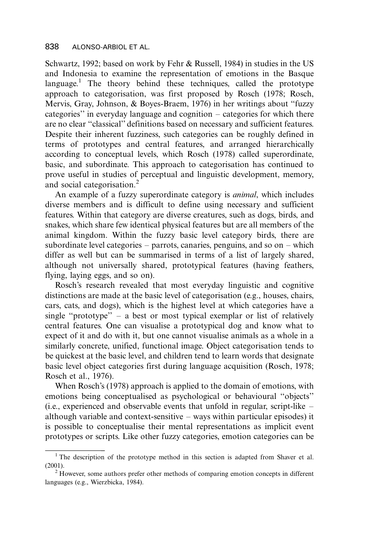Schwartz, 1992; based on work by Fehr & Russell, 1984) in studies in the US and Indonesia to examine the representation of emotions in the Basque  $l$  language.<sup>1</sup> The theory behind these techniques, called the prototype approach to categorisation, was first proposed by Rosch (1978; Rosch, Mervis, Gray, Johnson, & Boyes-Braem, 1976) in her writings about ''fuzzy categories'' in everyday language and cognition  $-\alpha$  categories for which there are no clear ''classical'' definitions based on necessary and sufficient features. Despite their inherent fuzziness, such categories can be roughly defined in terms of prototypes and central features, and arranged hierarchically according to conceptual levels, which Rosch (1978) called superordinate, basic, and subordinate. This approach to categorisation has continued to prove useful in studies of perceptual and linguistic development, memory, and social categorisation.<sup>2</sup>

An example of a fuzzy superordinate category is animal, which includes diverse members and is difficult to define using necessary and sufficient features. Within that category are diverse creatures, such as dogs, birds, and snakes, which share few identical physical features but are all members of the animal kingdom. Within the fuzzy basic level category birds, there are subordinate level categories  $-$  parrots, canaries, penguins, and so on  $-$  which differ as well but can be summarised in terms of a list of largely shared, although not universally shared, prototypical features (having feathers, flying, laying eggs, and so on).

Rosch's research revealed that most everyday linguistic and cognitive distinctions are made at the basic level of categorisation (e.g., houses, chairs, cars, cats, and dogs), which is the highest level at which categories have a single "prototype"  $-$  a best or most typical exemplar or list of relatively central features. One can visualise a prototypical dog and know what to expect of it and do with it, but one cannot visualise animals as a whole in a similarly concrete, unified, functional image. Object categorisation tends to be quickest at the basic level, and children tend to learn words that designate basic level object categories first during language acquisition (Rosch, 1978; Rosch et al., 1976).

When Rosch's (1978) approach is applied to the domain of emotions, with emotions being conceptualised as psychological or behavioural ''objects'' (i.e., experienced and observable events that unfold in regular, script-like although variable and context-sensitive  $-\omega$  ways within particular episodes) it is possible to conceptualise their mental representations as implicit event prototypes or scripts. Like other fuzzy categories, emotion categories can be

 $1$ <sup>1</sup> The description of the prototype method in this section is adapted from Shaver et al. (2001).<br><sup>2</sup> However, some authors prefer other methods of comparing emotion concepts in different

languages (e.g., Wierzbicka, 1984).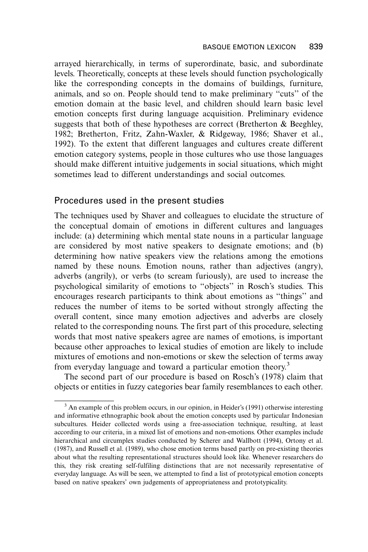arrayed hierarchically, in terms of superordinate, basic, and subordinate levels. Theoretically, concepts at these levels should function psychologically like the corresponding concepts in the domains of buildings, furniture, animals, and so on. People should tend to make preliminary ''cuts'' of the emotion domain at the basic level, and children should learn basic level emotion concepts first during language acquisition. Preliminary evidence suggests that both of these hypotheses are correct (Bretherton & Beeghley, 1982; Bretherton, Fritz, Zahn-Waxler, & Ridgeway, 1986; Shaver et al., 1992). To the extent that different languages and cultures create different emotion category systems, people in those cultures who use those languages should make different intuitive judgements in social situations, which might sometimes lead to different understandings and social outcomes.

## Procedures used in the present studies

The techniques used by Shaver and colleagues to elucidate the structure of the conceptual domain of emotions in different cultures and languages include: (a) determining which mental state nouns in a particular language are considered by most native speakers to designate emotions; and (b) determining how native speakers view the relations among the emotions named by these nouns. Emotion nouns, rather than adjectives (angry), adverbs (angrily), or verbs (to scream furiously), are used to increase the psychological similarity of emotions to ''objects'' in Rosch's studies. This encourages research participants to think about emotions as ''things'' and reduces the number of items to be sorted without strongly affecting the overall content, since many emotion adjectives and adverbs are closely related to the corresponding nouns. The first part of this procedure, selecting words that most native speakers agree are names of emotions, is important because other approaches to lexical studies of emotion are likely to include mixtures of emotions and non-emotions or skew the selection of terms away from everyday language and toward a particular emotion theory.<sup>3</sup>

The second part of our procedure is based on Rosch's (1978) claim that objects or entities in fuzzy categories bear family resemblances to each other.

<sup>&</sup>lt;sup>3</sup> An example of this problem occurs, in our opinion, in Heider's (1991) otherwise interesting and informative ethnographic book about the emotion concepts used by particular Indonesian subcultures. Heider collected words using a free-association technique, resulting, at least according to our criteria, in a mixed list of emotions and non-emotions. Other examples include hierarchical and circumplex studies conducted by Scherer and Wallbott (1994), Ortony et al. (1987), and Russell et al. (1989), who chose emotion terms based partly on pre-existing theories about what the resulting representational structures should look like. Whenever researchers do this, they risk creating self-fulfiling distinctions that are not necessarily representative of everyday language. As will be seen, we attempted to find a list of prototypical emotion concepts based on native speakers' own judgements of appropriateness and prototypicality.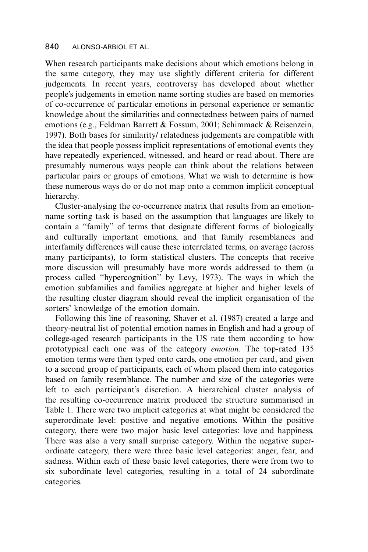When research participants make decisions about which emotions belong in the same category, they may use slightly different criteria for different judgements. In recent years, controversy has developed about whether people's judgements in emotion name sorting studies are based on memories of co-occurrence of particular emotions in personal experience or semantic knowledge about the similarities and connectedness between pairs of named emotions (e.g., Feldman Barrett & Fossum, 2001; Schimmack & Reisenzein, 1997). Both bases for similarity/ relatedness judgements are compatible with the idea that people possess implicit representations of emotional events they have repeatedly experienced, witnessed, and heard or read about. There are presumably numerous ways people can think about the relations between particular pairs or groups of emotions. What we wish to determine is how these numerous ways do or do not map onto a common implicit conceptual hierarchy.

Cluster-analysing the co-occurrence matrix that results from an emotionname sorting task is based on the assumption that languages are likely to contain a ''family'' of terms that designate different forms of biologically and culturally important emotions, and that family resemblances and interfamily differences will cause these interrelated terms, on average (across many participants), to form statistical clusters. The concepts that receive more discussion will presumably have more words addressed to them (a process called ''hypercognition'' by Levy, 1973). The ways in which the emotion subfamilies and families aggregate at higher and higher levels of the resulting cluster diagram should reveal the implicit organisation of the sorters' knowledge of the emotion domain.

Following this line of reasoning, Shaver et al. (1987) created a large and theory-neutral list of potential emotion names in English and had a group of college-aged research participants in the US rate them according to how prototypical each one was of the category emotion. The top-rated 135 emotion terms were then typed onto cards, one emotion per card, and given to a second group of participants, each of whom placed them into categories based on family resemblance. The number and size of the categories were left to each participant's discretion. A hierarchical cluster analysis of the resulting co-occurrence matrix produced the structure summarised in Table 1. There were two implicit categories at what might be considered the superordinate level: positive and negative emotions. Within the positive category, there were two major basic level categories: love and happiness. There was also a very small surprise category. Within the negative superordinate category, there were three basic level categories: anger, fear, and sadness. Within each of these basic level categories, there were from two to six subordinate level categories, resulting in a total of 24 subordinate categories.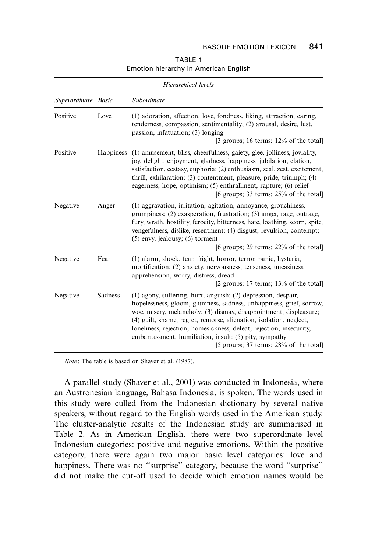| Hierarchical levels |         |                                                                                                                                                                                                                                                                                                                                                                                                                                                            |  |
|---------------------|---------|------------------------------------------------------------------------------------------------------------------------------------------------------------------------------------------------------------------------------------------------------------------------------------------------------------------------------------------------------------------------------------------------------------------------------------------------------------|--|
| Superordinate Basic |         | Subordinate                                                                                                                                                                                                                                                                                                                                                                                                                                                |  |
| Positive            | Love    | (1) adoration, affection, love, fondness, liking, attraction, caring,<br>tenderness, compassion, sentimentality; (2) arousal, desire, lust,<br>passion, infatuation; (3) longing<br>[3 groups; 16 terms; $12\%$ of the total]                                                                                                                                                                                                                              |  |
| Positive            |         | Happiness (1) amusement, bliss, cheerfulness, gaiety, glee, jolliness, joviality,<br>joy, delight, enjoyment, gladness, happiness, jubilation, elation,<br>satisfaction, ecstasy, euphoria; (2) enthusiasm, zeal, zest, excitement,<br>thrill, exhilaration; (3) contentment, pleasure, pride, triumph; (4)<br>eagerness, hope, optimism; (5) enthrallment, rapture; (6) relief<br>[6 groups; 33 terms; 25% of the total]                                  |  |
| Negative            | Anger   | (1) aggravation, irritation, agitation, annoyance, grouchiness,<br>grumpiness; (2) exasperation, frustration; (3) anger, rage, outrage,<br>fury, wrath, hostility, ferocity, bitterness, hate, loathing, scorn, spite,<br>vengefulness, dislike, resentment; (4) disgust, revulsion, contempt;<br>$(5)$ envy, jealousy; $(6)$ torment<br>[6 groups: 29 terms: $22\%$ of the total]                                                                         |  |
| Negative            | Fear    | (1) alarm, shock, fear, fright, horror, terror, panic, hysteria,<br>mortification; (2) anxiety, nervousness, tenseness, uneasiness,<br>apprehension, worry, distress, dread<br>[2 groups; $17$ terms; $13\%$ of the total]                                                                                                                                                                                                                                 |  |
| Negative            | Sadness | (1) agony, suffering, hurt, anguish; (2) depression, despair,<br>hopelessness, gloom, glumness, sadness, unhappiness, grief, sorrow,<br>woe, misery, melancholy; (3) dismay, disappointment, displeasure;<br>(4) guilt, shame, regret, remorse, alienation, isolation, neglect,<br>loneliness, rejection, homesickness, defeat, rejection, insecurity,<br>embarrassment, humiliation, insult: (5) pity, sympathy<br>[5 groups; 37 terms; 28% of the total] |  |

#### TABLE 1 Emotion hierarchy in American English

Note: The table is based on Shaver et al. (1987).

A parallel study (Shaver et al., 2001) was conducted in Indonesia, where an Austronesian language, Bahasa Indonesia, is spoken. The words used in this study were culled from the Indonesian dictionary by several native speakers, without regard to the English words used in the American study. The cluster-analytic results of the Indonesian study are summarised in Table 2. As in American English, there were two superordinate level Indonesian categories: positive and negative emotions. Within the positive category, there were again two major basic level categories: love and happiness. There was no "surprise" category, because the word "surprise" did not make the cut-off used to decide which emotion names would be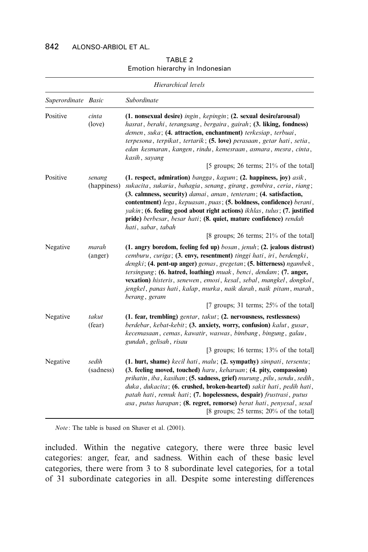| Hierarchical levels |                       |                                                                                                                                                                                                                                                                                                                                                                                                                                                                                                       |  |
|---------------------|-----------------------|-------------------------------------------------------------------------------------------------------------------------------------------------------------------------------------------------------------------------------------------------------------------------------------------------------------------------------------------------------------------------------------------------------------------------------------------------------------------------------------------------------|--|
| Superordinate Basic |                       | Subordinate                                                                                                                                                                                                                                                                                                                                                                                                                                                                                           |  |
| Positive            | cinta<br>(love)       | (1. nonsexual desire) ingin, kepingin; (2. sexual desire/arousal)<br>hasrat, berahi, terangsang, bergaira, gairah; (3. liking, fondness)<br>demen, suka; (4. attraction, enchantment) terkesiap, terbuai,<br>terpesona, terpikat, tertarik; (5. love) perasaan, getar hati, setia,<br>edan kesmaran, kangen, rindu, kemesraan, asmara, mesra, cinta,<br>kasih, sayang<br>[5 groups; 26 terms; 21% of the total]                                                                                       |  |
| Positive            | senang<br>(happiness) | (1. respect, admiration) bangga, kagum; $(2.$ happiness, joy) asik,<br>sukacita, sukaria, bahagia, senang, girang, gembira, ceria, riang;<br>(3. calmness, security) damai, aman, tenteram; (4. satisfaction,<br>contentment) lega, kepuasan, puas; (5. boldness, confidence) berani,<br>yakin; (6. feeling good about right actions) ikhlas, tulus; (7. justified<br>pride) berbesar, besar hati; (8. quiet, mature confidence) rendah<br>hati, sabar, tabah                                         |  |
|                     |                       | [8 groups; 26 terms; 21% of the total]                                                                                                                                                                                                                                                                                                                                                                                                                                                                |  |
| Negative            | marah<br>(anger)      | $(1.$ angry boredom, feeling fed up) <i>bosan</i> , <i>jenuh</i> ; $(2.$ <b>jealous distrust</b> )<br>cemburu, curiga; (3. envy, resentment) tinggi hati, iri, berdengki,<br>dengki; (4. pent-up anger) gemas, gregetan; (5. bitterness) ngambek,<br><i>tersingung</i> ; (6. hatred, loathing) muak, benci, dendam; (7. anger,<br>vexation) histeris, senewen, emosi, kesal, sebal, mangkel, dongkol,<br>jengkel, panas hati, kalap, murka, naik darah, naik pitam, marah,<br>berang, geram           |  |
|                     |                       | [7 groups; 31 terms; 25% of the total]                                                                                                                                                                                                                                                                                                                                                                                                                                                                |  |
| Negative            | takut<br>(fear)       | (1. fear, trembling) gentar, takut; (2. nervousness, restlessness)<br>berdebar, kebat-kebit; (3. anxiety, worry, confusion) kalut, gusar,<br>kecemasaan, cemas, kawatir, waswas, bimbang, bingung, galau,<br>gundah, gelisah, risau                                                                                                                                                                                                                                                                   |  |
|                     |                       | [3 groups; 16 terms; 13% of the total]                                                                                                                                                                                                                                                                                                                                                                                                                                                                |  |
| Negative            | sedih<br>(sadness)    | $(1. \text{hurt, sham})$ kecil hati, malu; $(2. \text{symbolby})$ simpati, tersentu;<br>(3. feeling moved, touched) haru, keharuan; (4. pity, compassion)<br>prihatin, iba, kasihan; (5. sadness, grief) murung, pilu, sendu, sedih,<br>duka, dukacita; (6. crushed, broken-hearted) sakit hati, pedih hati,<br>patah hati, remuk hati; (7. hopelessness, despair) frustrasi, putus<br>asa, putus harapan; (8. regret, remorse) berat hati, penyesal, sesal<br>[8 groups; 25 terms; 20% of the total] |  |

#### TABLE 2 Emotion hierarchy in Indonesian

Note: The table is based on Shaver et al. (2001).

included. Within the negative category, there were three basic level categories: anger, fear, and sadness. Within each of these basic level categories, there were from 3 to 8 subordinate level categories, for a total of 31 subordinate categories in all. Despite some interesting differences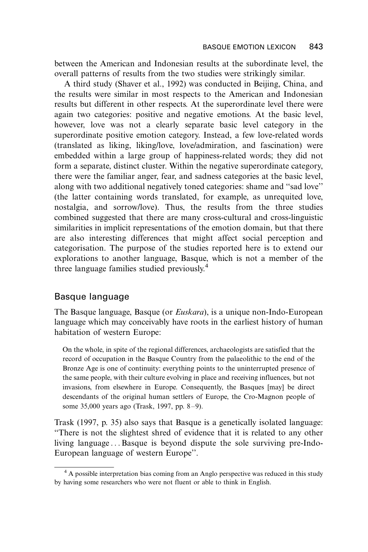between the American and Indonesian results at the subordinate level, the overall patterns of results from the two studies were strikingly similar.

A third study (Shaver et al., 1992) was conducted in Beijing, China, and the results were similar in most respects to the American and Indonesian results but different in other respects. At the superordinate level there were again two categories: positive and negative emotions. At the basic level, however, love was not a clearly separate basic level category in the superordinate positive emotion category. Instead, a few love-related words (translated as liking, liking/love, love/admiration, and fascination) were embedded within a large group of happiness-related words; they did not form a separate, distinct cluster. Within the negative superordinate category, there were the familiar anger, fear, and sadness categories at the basic level, along with two additional negatively toned categories: shame and ''sad love'' (the latter containing words translated, for example, as unrequited love, nostalgia, and sorrow/love). Thus, the results from the three studies combined suggested that there are many cross-cultural and cross-linguistic similarities in implicit representations of the emotion domain, but that there are also interesting differences that might affect social perception and categorisation. The purpose of the studies reported here is to extend our explorations to another language, Basque, which is not a member of the three language families studied previously.<sup>4</sup>

# Basque language

The Basque language, Basque (or Euskara), is a unique non-Indo-European language which may conceivably have roots in the earliest history of human habitation of western Europe:

On the whole, in spite of the regional differences, archaeologists are satisfied that the record of occupation in the Basque Country from the palaeolithic to the end of the Bronze Age is one of continuity: everything points to the uninterrupted presence of the same people, with their culture evolving in place and receiving influences, but not invasions, from elsewhere in Europe. Consequently, the Basques [may] be direct descendants of the original human settlers of Europe, the Cro-Magnon people of some 35,000 years ago (Trask, 1997, pp. 8–9).

Trask (1997, p. 35) also says that Basque is a genetically isolated language: ''There is not the slightest shred of evidence that it is related to any other living language ... Basque is beyond dispute the sole surviving pre-Indo-European language of western Europe''.

<sup>&</sup>lt;sup>4</sup> A possible interpretation bias coming from an Anglo perspective was reduced in this study by having some researchers who were not fluent or able to think in English.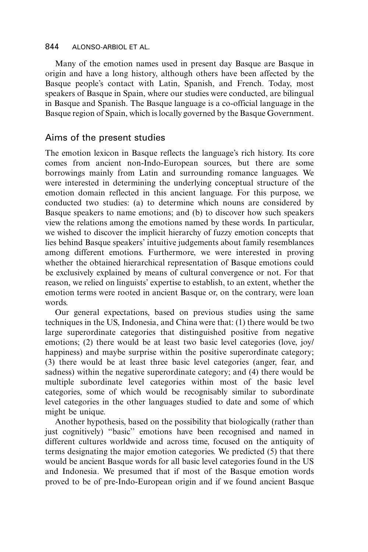Many of the emotion names used in present day Basque are Basque in origin and have a long history, although others have been affected by the Basque people's contact with Latin, Spanish, and French. Today, most speakers of Basque in Spain, where our studies were conducted, are bilingual in Basque and Spanish. The Basque language is a co-official language in the Basque region of Spain, which is locally governed by the Basque Government.

# Aims of the present studies

The emotion lexicon in Basque reflects the language's rich history. Its core comes from ancient non-Indo-European sources, but there are some borrowings mainly from Latin and surrounding romance languages. We were interested in determining the underlying conceptual structure of the emotion domain reflected in this ancient language. For this purpose, we conducted two studies: (a) to determine which nouns are considered by Basque speakers to name emotions; and (b) to discover how such speakers view the relations among the emotions named by these words. In particular, we wished to discover the implicit hierarchy of fuzzy emotion concepts that lies behind Basque speakers' intuitive judgements about family resemblances among different emotions. Furthermore, we were interested in proving whether the obtained hierarchical representation of Basque emotions could be exclusively explained by means of cultural convergence or not. For that reason, we relied on linguists' expertise to establish, to an extent, whether the emotion terms were rooted in ancient Basque or, on the contrary, were loan words.

Our general expectations, based on previous studies using the same techniques in the US, Indonesia, and China were that: (1) there would be two large superordinate categories that distinguished positive from negative emotions; (2) there would be at least two basic level categories (love, joy/ happiness) and maybe surprise within the positive superordinate category; (3) there would be at least three basic level categories (anger, fear, and sadness) within the negative superordinate category; and (4) there would be multiple subordinate level categories within most of the basic level categories, some of which would be recognisably similar to subordinate level categories in the other languages studied to date and some of which might be unique.

Another hypothesis, based on the possibility that biologically (rather than just cognitively) ''basic'' emotions have been recognised and named in different cultures worldwide and across time, focused on the antiquity of terms designating the major emotion categories. We predicted (5) that there would be ancient Basque words for all basic level categories found in the US and Indonesia. We presumed that if most of the Basque emotion words proved to be of pre-Indo-European origin and if we found ancient Basque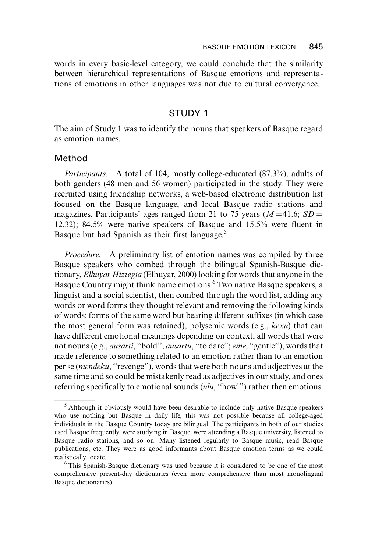words in every basic-level category, we could conclude that the similarity between hierarchical representations of Basque emotions and representations of emotions in other languages was not due to cultural convergence.

### STUDY 1

The aim of Study 1 was to identify the nouns that speakers of Basque regard as emotion names.

## Method

Participants. A total of 104, mostly college-educated (87.3%), adults of both genders (48 men and 56 women) participated in the study. They were recruited using friendship networks, a web-based electronic distribution list focused on the Basque language, and local Basque radio stations and magazines. Participants' ages ranged from 21 to 75 years  $(M=41.6; SD=$ 12.32); 84.5% were native speakers of Basque and 15.5% were fluent in Basque but had Spanish as their first language.<sup>5</sup>

Procedure. A preliminary list of emotion names was compiled by three Basque speakers who combed through the bilingual Spanish-Basque dictionary, Elhuyar Hiztegia (Elhuyar, 2000) looking for words that anyone in the Basque Country might think name emotions.<sup>6</sup> Two native Basque speakers, a linguist and a social scientist, then combed through the word list, adding any words or word forms they thought relevant and removing the following kinds of words: forms of the same word but bearing different suffixes (in which case the most general form was retained), polysemic words (e.g., kexu) that can have different emotional meanings depending on context, all words that were not nouns (e.g., *ausarti*, "bold"; *ausartu*, "to dare"; *eme*, "gentle"), words that made reference to something related to an emotion rather than to an emotion per se (mendeku, ''revenge''), words that were both nouns and adjectives at the same time and so could be mistakenly read as adjectives in our study, and ones referring specifically to emotional sounds (*ulu*, "howl") rather then emotions.

<sup>5</sup> Although it obviously would have been desirable to include only native Basque speakers who use nothing but Basque in daily life, this was not possible because all college-aged individuals in the Basque Country today are bilingual. The participants in both of our studies used Basque frequently, were studying in Basque, were attending a Basque university, listened to Basque radio stations, and so on. Many listened regularly to Basque music, read Basque publications, etc. They were as good informants about Basque emotion terms as we could realistically locate. <sup>6</sup> This Spanish-Basque dictionary was used because it is considered to be one of the most

comprehensive present-day dictionaries (even more comprehensive than most monolingual Basque dictionaries).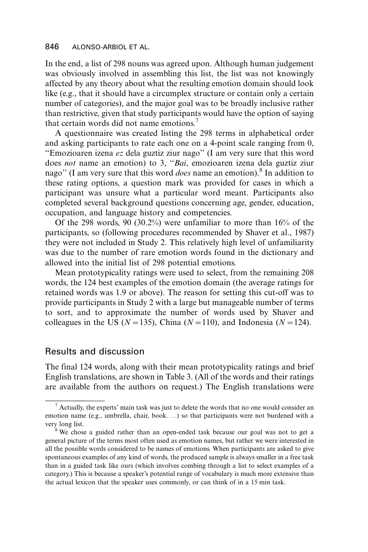In the end, a list of 298 nouns was agreed upon. Although human judgement was obviously involved in assembling this list, the list was not knowingly affected by any theory about what the resulting emotion domain should look like (e.g., that it should have a circumplex structure or contain only a certain number of categories), and the major goal was to be broadly inclusive rather than restrictive, given that study participants would have the option of saying that certain words did not name emotions.<sup>7</sup>

A questionnaire was created listing the 298 terms in alphabetical order and asking participants to rate each one on a 4-point scale ranging from 0, ''Emozioaren izena ez dela guztiz ziur nago'' (I am very sure that this word does not name an emotion) to 3, ''Bai, emozioaren izena dela guztiz ziur nago" (I am very sure that this word *does* name an emotion).<sup>8</sup> In addition to these rating options, a question mark was provided for cases in which a participant was unsure what a particular word meant. Participants also completed several background questions concerning age, gender, education, occupation, and language history and competencies.

Of the 298 words, 90 (30.2%) were unfamiliar to more than 16% of the participants, so (following procedures recommended by Shaver et al., 1987) they were not included in Study 2. This relatively high level of unfamiliarity was due to the number of rare emotion words found in the dictionary and allowed into the initial list of 298 potential emotions.

Mean prototypicality ratings were used to select, from the remaining 208 words, the 124 best examples of the emotion domain (the average ratings for retained words was 1.9 or above). The reason for setting this cut-off was to provide participants in Study 2 with a large but manageable number of terms to sort, and to approximate the number of words used by Shaver and colleagues in the US ( $N = 135$ ), China ( $N = 110$ ), and Indonesia ( $N = 124$ ).

## Results and discussion

The final 124 words, along with their mean prototypicality ratings and brief English translations, are shown in Table 3. (All of the words and their ratings are available from the authors on request.) The English translations were

 $7$  Actually, the experts' main task was just to delete the words that no one would consider an emotion name (e.g., umbrella, chair, book. ...) so that participants were not burdened with a very long list. <sup>8</sup> We chose a guided rather than an open-ended task because our goal was not to get a

general picture of the terms most often used as emotion names, but rather we were interested in all the possible words considered to be names of emotions. When participants are asked to give spontaneous examples of any kind of words, the produced sample is always smaller in a free task than in a guided task like ours (which involves combing through a list to select examples of a category.) This is because a speaker's potential range of vocabulary is much more extensive than the actual lexicon that the speaker uses commonly, or can think of in a 15 min task.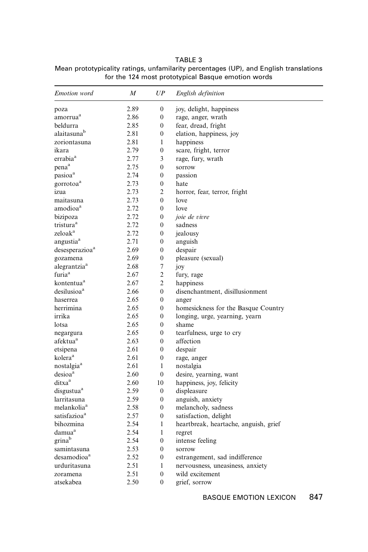#### TABLE 3

## Mean prototypicality ratings, unfamilarity percentages (UP), and English translations for the 124 most prototypical Basque emotion words

| <b>Emotion</b> word        | M    | UP               | English definition                    |  |
|----------------------------|------|------------------|---------------------------------------|--|
| poza                       | 2.89 | $\boldsymbol{0}$ | joy, delight, happiness               |  |
| amorrua <sup>a</sup>       | 2.86 | $\Omega$         | rage, anger, wrath                    |  |
| beldurra                   | 2.85 | $\boldsymbol{0}$ | fear, dread, fright                   |  |
| alaitasuna <sup>b</sup>    | 2.81 | $\mathbf{0}$     | elation, happiness, joy               |  |
| zoriontasuna               | 2.81 | $\mathbf{1}$     | happiness                             |  |
| ikara                      | 2.79 | $\boldsymbol{0}$ | scare, fright, terror                 |  |
| errabia <sup>a</sup>       | 2.77 | 3                | rage, fury, wrath                     |  |
| pena <sup>a</sup>          | 2.75 | $\boldsymbol{0}$ | sorrow                                |  |
| pasioa <sup>a</sup>        | 2.74 | $\Omega$         | passion                               |  |
| gorrotoa <sup>a</sup>      | 2.73 | $\boldsymbol{0}$ | hate                                  |  |
| izua                       | 2.73 | $\overline{c}$   | horror, fear, terror, fright          |  |
| maitasuna                  | 2.73 | $\boldsymbol{0}$ | love                                  |  |
| amodioa <sup>a</sup>       | 2.72 | $\boldsymbol{0}$ | love                                  |  |
| bizipoza                   | 2.72 | $\boldsymbol{0}$ | joie de vivre                         |  |
| tristura <sup>a</sup>      | 2.72 | $\mathbf{0}$     | sadness                               |  |
| zeloak <sup>a</sup>        | 2.72 | $\theta$         | jealousy                              |  |
| angustia <sup>a</sup>      | 2.71 | $\boldsymbol{0}$ | anguish                               |  |
| desesperazioa <sup>a</sup> | 2.69 | $\theta$         | despair                               |  |
| gozamena                   | 2.69 | $\boldsymbol{0}$ | pleasure (sexual)                     |  |
| alegrantzia <sup>a</sup>   | 2.68 | 7                | joy                                   |  |
| furia <sup>a</sup>         | 2.67 | $\overline{2}$   | fury, rage                            |  |
| kontentua <sup>a</sup>     | 2.67 | $\overline{2}$   | happiness                             |  |
| desilusioa <sup>a</sup>    | 2.66 | $\boldsymbol{0}$ | disenchantment, disillusionment       |  |
| haserrea                   | 2.65 | $\boldsymbol{0}$ | anger                                 |  |
| herrimina                  | 2.65 | $\Omega$         | homesickness for the Basque Country   |  |
| irrika                     | 2.65 | $\boldsymbol{0}$ | longing, urge, yearning, yearn        |  |
| lotsa                      | 2.65 | $\mathbf{0}$     | shame                                 |  |
| negargura                  | 2.65 | $\boldsymbol{0}$ | tearfulness, urge to cry              |  |
| afektua <sup>a</sup>       | 2.63 | $\boldsymbol{0}$ | affection                             |  |
| etsipena                   | 2.61 | $\boldsymbol{0}$ | despair                               |  |
| kolera <sup>a</sup>        | 2.61 | 0                | rage, anger                           |  |
| nostalgia <sup>a</sup>     | 2.61 | 1                | nostalgia                             |  |
| desioa <sup>a</sup>        | 2.60 | $\boldsymbol{0}$ | desire, yearning, want                |  |
| ditxa <sup>a</sup>         | 2.60 | 10               | happiness, joy, felicity              |  |
| disgustua <sup>a</sup>     | 2.59 | $\boldsymbol{0}$ | displeasure                           |  |
| larritasuna                | 2.59 | $\boldsymbol{0}$ | anguish, anxiety                      |  |
| melankolia <sup>a</sup>    | 2.58 | $\boldsymbol{0}$ | melancholy, sadness                   |  |
| satisfazioa <sup>a</sup>   | 2.57 | $\boldsymbol{0}$ | satisfaction, delight                 |  |
| bihozmina                  | 2.54 | $\mathbf{1}$     | heartbreak, heartache, anguish, grief |  |
| damua <sup>a</sup>         | 2.54 | $\mathbf{1}$     | regret                                |  |
| grinab                     | 2.54 | $\theta$         | intense feeling                       |  |
| samintasuna                | 2.53 | $\boldsymbol{0}$ | sorrow                                |  |
| desamodioa <sup>a</sup>    | 2.52 | $\boldsymbol{0}$ | estrangement, sad indifference        |  |
| urduritasuna               | 2.51 | 1                | nervousness, uneasiness, anxiety      |  |
| zoramena                   | 2.51 | $\mathbf{0}$     | wild excitement                       |  |
| atsekabea                  | 2.50 | $\theta$         | grief, sorrow                         |  |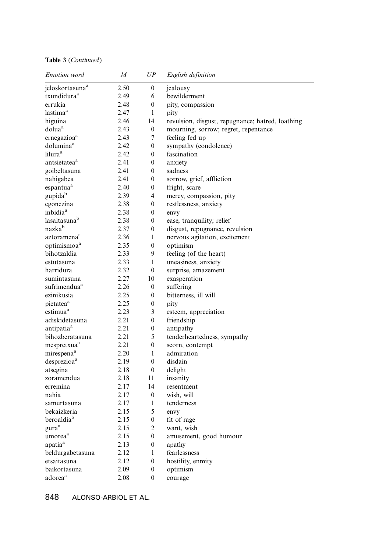| Table 3 (Continued) |
|---------------------|
|---------------------|

| <i>Emotion</i> word         | M    | UP             | English definition                               |
|-----------------------------|------|----------------|--------------------------------------------------|
| jeloskortasuna <sup>a</sup> | 2.50 | $\mathbf{0}$   | jealousy                                         |
| txundidura <sup>a</sup>     | 2.49 | 6              | bewilderment                                     |
| errukia                     | 2.48 | $\mathbf{0}$   | pity, compassion                                 |
| lastima <sup>a</sup>        | 2.47 | 1              | pity                                             |
| higuina                     | 2.46 | 14             | revulsion, disgust, repugnance; hatred, loathing |
| dolua <sup>a</sup>          | 2.43 | $\mathbf{0}$   | mourning, sorrow; regret, repentance             |
| ernegazioa <sup>a</sup>     | 2.43 | 7              | feeling fed up                                   |
| dolumina <sup>a</sup>       | 2.42 | $\theta$       | sympathy (condolence)                            |
| lilura <sup>a</sup>         | 2.42 | $\mathbf{0}$   | fascination                                      |
| antsietatea <sup>a</sup>    | 2.41 | $\mathbf{0}$   | anxiety                                          |
| goibeltasuna                | 2.41 | $\theta$       | sadness                                          |
| nahigabea                   | 2.41 | $\mathbf{0}$   | sorrow, grief, affliction                        |
| espantua <sup>a</sup>       | 2.40 | $\mathbf{0}$   | fright, scare                                    |
| gupida <sup>b</sup>         | 2.39 | 4              | mercy, compassion, pity                          |
| egonezina                   | 2.38 | $\mathbf{0}$   | restlessness, anxiety                            |
| inbidia <sup>a</sup>        | 2.38 | $\theta$       | envy                                             |
| lasaitasunab                | 2.38 | $\theta$       | ease, tranquility; relief                        |
| nazka <sup>b</sup>          | 2.37 | $\theta$       | disgust, repugnance, revulsion                   |
| aztoramena <sup>a</sup>     | 2.36 | 1              | nervous agitation, excitement                    |
| optimismoa <sup>a</sup>     | 2.35 | $\theta$       | optimism                                         |
| bihotzaldia                 | 2.33 | 9              | feeling (of the heart)                           |
| estutasuna                  | 2.33 | 1              | uneasiness, anxiety                              |
| harridura                   | 2.32 | $\theta$       | surprise, amazement                              |
| sumintasuna                 | 2.27 | 10             | exasperation                                     |
| sufrimendua <sup>a</sup>    | 2.26 | $\mathbf{0}$   | suffering                                        |
| ezinikusia                  | 2.25 | $\theta$       | bitterness, ill will                             |
| pietatea <sup>a</sup>       | 2.25 | $\overline{0}$ | pity                                             |
| estimua <sup>a</sup>        | 2.23 | 3              | esteem, appreciation                             |
| adiskidetasuna              | 2.21 | $\theta$       | friendship                                       |
| antipatia <sup>a</sup>      | 2.21 | $\mathbf{0}$   | antipathy                                        |
| bihozberatasuna             | 2.21 | 5              | tenderheartedness, sympathy                      |
| mespretxua <sup>a</sup>     | 2.21 | $\theta$       | scorn, contempt                                  |
| mirespena <sup>a</sup>      | 2.20 | 1              | admiration                                       |
| desprezioa <sup>a</sup>     | 2.19 | $\overline{0}$ | disdain                                          |
| atsegina                    | 2.18 | $\theta$       | delight                                          |
| zoramendua                  | 2.18 | 11             | insanity                                         |
| erremina                    | 2.17 | 14             | resentment                                       |
| nahia                       | 2.17 | $\mathbf{0}$   | wish, will                                       |
| samurtasuna                 | 2.17 | 1              | tenderness                                       |
| bekaizkeria                 | 2.15 | 5              | envy                                             |
| beroaldia <sup>b</sup>      | 2.15 | $\mathbf{0}$   | fit of rage                                      |
| gura <sup>a</sup>           | 2.15 | 2              | want, wish                                       |
| umorea <sup>a</sup>         | 2.15 | $\mathbf{0}$   | amusement, good humour                           |
| apatia <sup>a</sup>         | 2.13 | $\mathbf{0}$   | apathy                                           |
| beldurgabetasuna            | 2.12 | 1              | fearlessness                                     |
| etsaitasuna                 | 2.12 | $\mathbf{0}$   | hostility, enmity                                |
| baikortasuna                | 2.09 | $\mathbf{0}$   | optimism                                         |
| adorea <sup>a</sup>         | 2.08 | $\theta$       | courage                                          |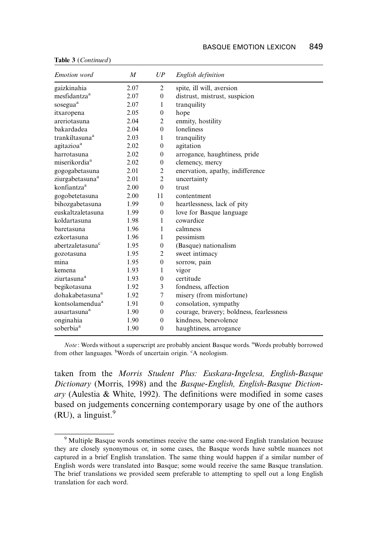| <b>Emotion</b> word          | M    | UP             | English definition                       |  |
|------------------------------|------|----------------|------------------------------------------|--|
| gaizkinahia                  | 2.07 | 2              | spite, ill will, aversion                |  |
| mesfidantza <sup>a</sup>     | 2.07 | $\mathbf{0}$   | distrust, mistrust, suspicion            |  |
| sosegua <sup>a</sup>         | 2.07 | 1              | tranquility                              |  |
| itxaropena                   | 2.05 | $\theta$       | hope                                     |  |
| areriotasuna                 | 2.04 | $\overline{2}$ | enmity, hostility                        |  |
| bakardadea                   | 2.04 | $\theta$       | loneliness                               |  |
| trankiltasuna <sup>a</sup>   | 2.03 | 1              | tranquility                              |  |
| agitazioa <sup>a</sup>       | 2.02 | $\theta$       | agitation                                |  |
| harrotasuna                  | 2.02 | $\theta$       | arrogance, haughtiness, pride            |  |
| miserikordia <sup>a</sup>    | 2.02 | $\theta$       | clemency, mercy                          |  |
| gogogabetasuna               | 2.01 | 2              | enervation, apathy, indifference         |  |
| ziurgabetasuna <sup>a</sup>  | 2.01 | $\overline{2}$ | uncertainty                              |  |
| konfiantza <sup>a</sup>      | 2.00 | $\theta$       | trust                                    |  |
| gogobetetasuna               | 2.00 | 11             | contentment                              |  |
| bihozgabetasuna              | 1.99 | $\mathbf{0}$   | heartlessness, lack of pity              |  |
| euskaltzaletasuna            | 1.99 | $\Omega$       | love for Basque language                 |  |
| koldartasuna                 | 1.98 | 1              | cowardice                                |  |
| baretasuna                   | 1.96 | 1              | calmness                                 |  |
| ezkortasuna                  | 1.96 | 1              | pessimism                                |  |
| abertzaletasuna <sup>c</sup> | 1.95 | $\theta$       | (Basque) nationalism                     |  |
| gozotasuna                   | 1.95 | $\overline{2}$ | sweet intimacy                           |  |
| mina                         | 1.95 | $\theta$       | sorrow, pain                             |  |
| kemena                       | 1.93 | 1              | vigor                                    |  |
| ziurtasuna <sup>a</sup>      | 1.93 | $\theta$       | certitude                                |  |
| begikotasuna                 | 1.92 | 3              | fondness, affection                      |  |
| dohakabetasuna <sup>a</sup>  | 1.92 | $\tau$         | misery (from misfortune)                 |  |
| kontsolamendua <sup>a</sup>  | 1.91 | $\theta$       | consolation, sympathy                    |  |
| ausartasuna <sup>a</sup>     | 1.90 | $\theta$       | courage, bravery; boldness, fearlessness |  |
| onginahia                    | 1.90 | $\mathbf{0}$   | kindness, benevolence                    |  |
| soberbia <sup>a</sup>        | 1.90 | $\Omega$       | haughtiness, arrogance                   |  |

Table 3 (Continued)

# BASQUE EMOTION LEXICON 849

Note: Words without a superscript are probably ancient Basque words. <sup>a</sup>Words probably borrowed from other languages. <sup>b</sup>Words of uncertain origin. <sup>c</sup>A neologism.

taken from the Morris Student Plus: Euskara-Ingelesa, English-Basque Dictionary (Morris, 1998) and the Basque-English, English-Basque Diction $ary$  (Aulestia & White, 1992). The definitions were modified in some cases based on judgements concerning contemporary usage by one of the authors  $(RU)$ , a linguist.<sup>9</sup>

<sup>&</sup>lt;sup>9</sup> Multiple Basque words sometimes receive the same one-word English translation because they are closely synonymous or, in some cases, the Basque words have subtle nuances not captured in a brief English translation. The same thing would happen if a similar number of English words were translated into Basque; some would receive the same Basque translation. The brief translations we provided seem preferable to attempting to spell out a long English translation for each word.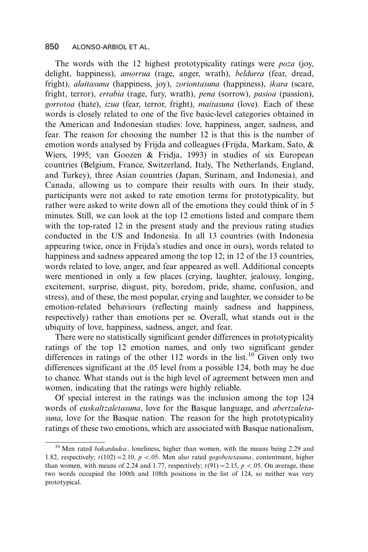The words with the 12 highest prototypicality ratings were *poza* (joy, delight, happiness), *amorrua* (rage, anger, wrath), *beldurra* (fear, dread, fright), alaitasuna (happiness, joy), zoriontasuna (happiness), ikara (scare, fright, terror), errabia (rage, fury, wrath), pena (sorrow), pasioa (passion), gorrotoa (hate), izua (fear, terror, fright), maitasuna (love). Each of these words is closely related to one of the five basic-level categories obtained in the American and Indonesian studies: love, happiness, anger, sadness, and fear. The reason for choosing the number 12 is that this is the number of emotion words analysed by Frijda and colleagues (Frijda, Markam, Sato, & Wiers, 1995; van Goozen & Fridja, 1993) in studies of six European countries (Belgium, France, Switzerland, Italy, The Netherlands, England, and Turkey), three Asian countries (Japan, Surinam, and Indonesia), and Canada, allowing us to compare their results with ours. In their study, participants were not asked to rate emotion terms for prototypicality, but rather were asked to write down all of the emotions they could think of in 5 minutes. Still, we can look at the top 12 emotions listed and compare them with the top-rated 12 in the present study and the previous rating studies conducted in the US and Indonesia. In all 13 countries (with Indonesia appearing twice, once in Frijda's studies and once in ours), words related to happiness and sadness appeared among the top 12; in 12 of the 13 countries, words related to love, anger, and fear appeared as well. Additional concepts were mentioned in only a few places (crying, laughter, jealousy, longing, excitement, surprise, disgust, pity, boredom, pride, shame, confusion, and stress), and of these, the most popular, crying and laughter, we consider to be emotion-related behaviours (reflecting mainly sadness and happiness, respectively) rather than emotions per se. Overall, what stands out is the ubiquity of love, happiness, sadness, anger, and fear.

There were no statistically significant gender differences in prototypicality ratings of the top 12 emotion names, and only two significant gender differences in ratings of the other 112 words in the list.<sup>10</sup> Given only two differences significant at the .05 level from a possible 124, both may be due to chance. What stands out is the high level of agreement between men and women, indicating that the ratings were highly reliable.

Of special interest in the ratings was the inclusion among the top 124 words of euskaltzaletasuna, love for the Basque language, and abertzaletasuna, love for the Basque nation. The reason for the high prototypicality ratings of these two emotions, which are associated with Basque nationalism,

 $10$  Men rated *bakardadea*, loneliness, higher than women, with the means being 2.29 and 1.82, respectively;  $t(102) = 2.10$ ,  $p < .05$ . Men also rated gogobetetasuna, contentment, higher than women, with means of 2.24 and 1.77, respectively;  $t(91) = 2.15$ ,  $p < .05$ . On average, these two words occupied the 100th and 108th positions in the list of 124, so neither was very prototypical.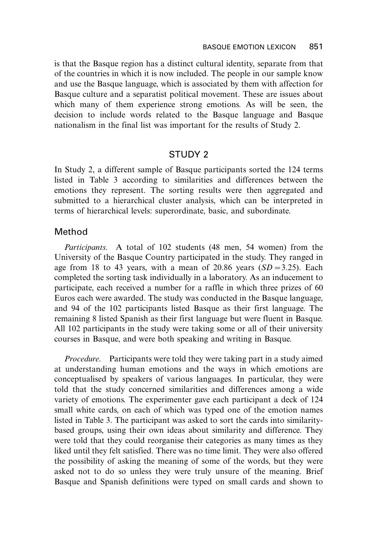is that the Basque region has a distinct cultural identity, separate from that of the countries in which it is now included. The people in our sample know and use the Basque language, which is associated by them with affection for Basque culture and a separatist political movement. These are issues about which many of them experience strong emotions. As will be seen, the decision to include words related to the Basque language and Basque nationalism in the final list was important for the results of Study 2.

# STUDY 2

In Study 2, a different sample of Basque participants sorted the 124 terms listed in Table 3 according to similarities and differences between the emotions they represent. The sorting results were then aggregated and submitted to a hierarchical cluster analysis, which can be interpreted in terms of hierarchical levels: superordinate, basic, and subordinate.

## Method

Participants. A total of 102 students (48 men, 54 women) from the University of the Basque Country participated in the study. They ranged in age from 18 to 43 years, with a mean of 20.86 years  $(SD = 3.25)$ . Each completed the sorting task individually in a laboratory. As an inducement to participate, each received a number for a raffle in which three prizes of 60 Euros each were awarded. The study was conducted in the Basque language, and 94 of the 102 participants listed Basque as their first language. The remaining 8 listed Spanish as their first language but were fluent in Basque. All 102 participants in the study were taking some or all of their university courses in Basque, and were both speaking and writing in Basque.

Procedure. Participants were told they were taking part in a study aimed at understanding human emotions and the ways in which emotions are conceptualised by speakers of various languages. In particular, they were told that the study concerned similarities and differences among a wide variety of emotions. The experimenter gave each participant a deck of 124 small white cards, on each of which was typed one of the emotion names listed in Table 3. The participant was asked to sort the cards into similaritybased groups, using their own ideas about similarity and difference. They were told that they could reorganise their categories as many times as they liked until they felt satisfied. There was no time limit. They were also offered the possibility of asking the meaning of some of the words, but they were asked not to do so unless they were truly unsure of the meaning. Brief Basque and Spanish definitions were typed on small cards and shown to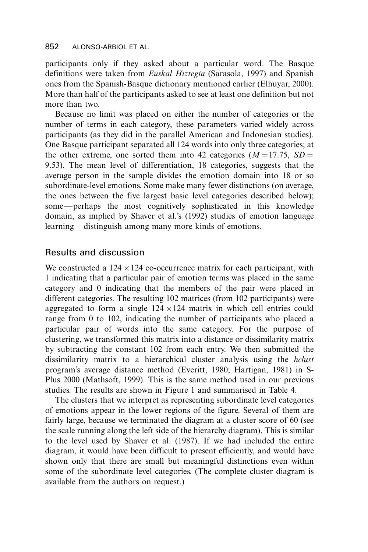participants only if they asked about a particular word. The Basque definitions were taken from Euskal Hiztegia (Sarasola, 1997) and Spanish ones from the Spanish-Basque dictionary mentioned earlier (Elhuyar, 2000). More than half of the participants asked to see at least one definition but not more than two.

Because no limit was placed on either the number of categories or the number of terms in each category, these parameters varied widely across participants (as they did in the parallel American and Indonesian studies). One Basque participant separated all 124 words into only three categories; at the other extreme, one sorted them into 42 categories  $(M=17.75, SD=$ 9.53). The mean level of differentiation, 18 categories, suggests that the average person in the sample divides the emotion domain into 18 or so subordinate-level emotions. Some make many fewer distinctions (on average, the ones between the five largest basic level categories described below); some—perhaps the most cognitively sophisticated in this knowledge domain, as implied by Shaver et al.'s (1992) studies of emotion language learning—distinguish among many more kinds of emotions.

# Results and discussion

We constructed a  $124 \times 124$  co-occurrence matrix for each participant, with 1 indicating that a particular pair of emotion terms was placed in the same category and 0 indicating that the members of the pair were placed in different categories. The resulting 102 matrices (from 102 participants) were aggregated to form a single  $124 \times 124$  matrix in which cell entries could range from 0 to 102, indicating the number of participants who placed a particular pair of words into the same category. For the purpose of clustering, we transformed this matrix into a distance or dissimilarity matrix by subtracting the constant 102 from each entry. We then submitted the dissimilarity matrix to a hierarchical cluster analysis using the hclust program's average distance method (Everitt, 1980; Hartigan, 1981) in S-Plus 2000 (Mathsoft, 1999). This is the same method used in our previous studies. The results are shown in Figure 1 and summarised in Table 4.

The clusters that we interpret as representing subordinate level categories of emotions appear in the lower regions of the figure. Several of them are fairly large, because we terminated the diagram at a cluster score of 60 (see the scale running along the left side of the hierarchy diagram). This is similar to the level used by Shaver et al. (1987). If we had included the entire diagram, it would have been difficult to present efficiently, and would have shown only that there are small but meaningful distinctions even within some of the subordinate level categories. (The complete cluster diagram is available from the authors on request.)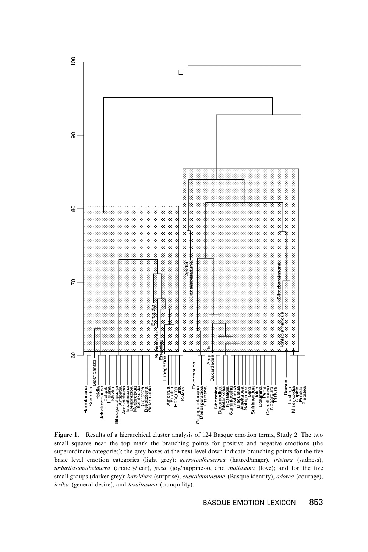

Figure 1. Results of a hierarchical cluster analysis of 124 Basque emotion terms, Study 2. The two small squares near the top mark the branching points for positive and negative emotions (the superordinate categories); the grey boxes at the next level down indicate branching points for the five basic level emotion categories (light grey): gorrotoa/haserrea (hatred/anger), tristura (sadness), urduritasuna/beldurra (anxiety/fear), poza (joy/happiness), and maitasuna (love); and for the five small groups (darker grey): harridura (surprise), euskalduntasuna (Basque identity), adorea (courage), irrika (general desire), and lasaitasuna (tranquility).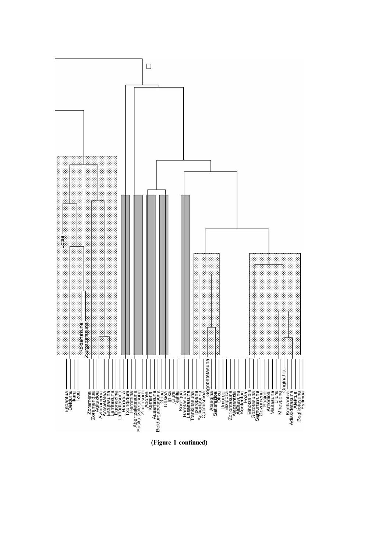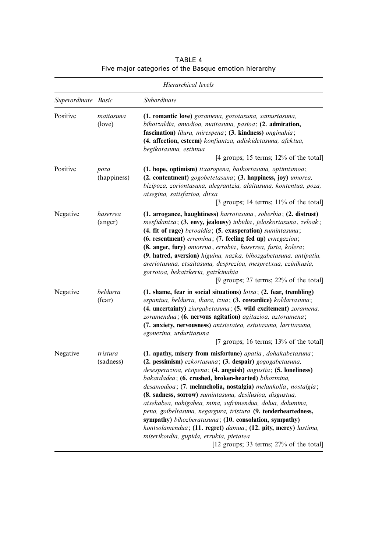| Superordinate Basic |                       | Subordinate                                                                                                                                                                                                                                                                                                                                                                                                                                                                                                                                                                                                                                                                                                                        |
|---------------------|-----------------------|------------------------------------------------------------------------------------------------------------------------------------------------------------------------------------------------------------------------------------------------------------------------------------------------------------------------------------------------------------------------------------------------------------------------------------------------------------------------------------------------------------------------------------------------------------------------------------------------------------------------------------------------------------------------------------------------------------------------------------|
| Positive            | maitasuna<br>(love)   | (1. romantic love) gozamena, gozotasuna, samurtasuna,<br>bihotzaldia, amodioa, maitasuna, pasioa; (2. admiration,<br>fascination) lilura, mirespena; (3. kindness) onginahia;<br>(4. affection, esteem) konfiantza, adiskidetasuna, afektua,<br>begikotasuna, estimua<br>[4 groups; 15 terms; $12\%$ of the total]                                                                                                                                                                                                                                                                                                                                                                                                                 |
| Positive            | poza<br>(happiness)   | (1. hope, optimism) itxaropena, baikortasuna, optimismoa;<br>(2. contentment) gogobetetasuna; (3. happiness, joy) umorea,<br>bizipoza, zoriontasuna, alegrantzia, alaitasuna, kontentua, poza,<br>atsegina, satisfazioa, ditxa<br>[3 groups; 14 terms; 11% of the total]                                                                                                                                                                                                                                                                                                                                                                                                                                                           |
| Negative            | haserrea<br>(anger)   | (1. arrogance, haughtiness) harrotasuna, soberbia; (2. distrust)<br>mesfidantza; (3. envy, jealousy) inbidia, jeloskortasuna, zeloak;<br>(4. fit of rage) beroaldia; (5. exasperation) sumintasuna;<br>(6. resentment) erremina; (7. feeling fed up) ernegazioa;<br>(8. anger, fury) amorrua, errabia, haserrea, furia, kolera;<br>(9. hatred, aversion) higuina, nazka, bihozgabetasuna, antipatia,<br>areriotasuna, etsaitasuna, desprezioa, mespretxua, ezinikusia,<br>gorrotoa, bekaizkeria, gaizkinahia<br>[9 groups; 27 terms; $22\%$ of the total]                                                                                                                                                                          |
| Negative            | beldurra<br>(fear)    | $(1. shame, fear in social situations)$ lotsa; $(2. fear, trembling)$<br>espantua, beldurra, ikara, izua; (3. cowardice) koldartasuna;<br>(4. uncertainty) ziurgabetasuna; (5. wild excitement) zoramena,<br>zoramendua; (6. nervous agitation) agitazioa, aztoramena;<br>(7. anxiety, nervousness) antsietatea, estutasuna, larritasuna,<br>egonezina, urduritasuna<br>[7 groups; 16 terms; $13\%$ of the total]                                                                                                                                                                                                                                                                                                                  |
| Negative            | tristura<br>(sadness) | (1. apathy, misery from misfortune) apatia, dohakabetasuna;<br>(2. pessimism) ezkortasuna; (3. despair) gogogabetasuna,<br>desesperazioa, etsipena; (4. anguish) angustia; (5. loneliness)<br>bakardadea; (6. crushed, broken-hearted) bihozmina,<br>desamodioa; (7. melancholia, nostalgia) melankolia, nostalgia;<br>(8. sadness, sorrow) samintasuna, desilusioa, disgustua,<br>atsekabea, nahigabea, mina, sufrimendua, dolua, dolumina,<br>pena, goibeltasuna, negargura, tristura (9. tenderheartedness,<br>sympathy) bihozberatasuna; (10. consolation, sympathy)<br>kontsolamendua; (11. regret) damua; (12. pity, mercy) lastima,<br>miserikordia, gupida, errukia, pietatea<br>[12 groups; 33 terms; $27%$ of the total] |

TABLE 4 Five major categories of the Basque emotion hierarchy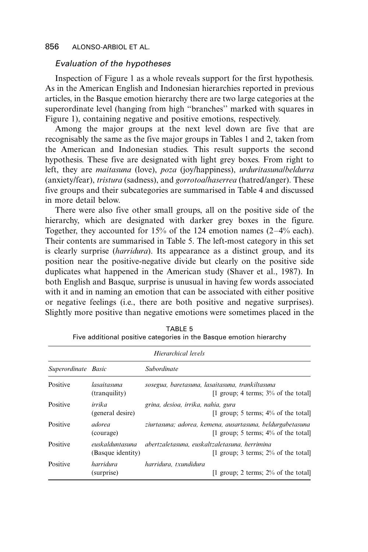#### Evaluation of the hypotheses

Inspection of Figure 1 as a whole reveals support for the first hypothesis. As in the American English and Indonesian hierarchies reported in previous articles, in the Basque emotion hierarchy there are two large categories at the superordinate level (hanging from high ''branches'' marked with squares in Figure 1), containing negative and positive emotions, respectively.

Among the major groups at the next level down are five that are recognisably the same as the five major groups in Tables 1 and 2, taken from the American and Indonesian studies. This result supports the second hypothesis. These five are designated with light grey boxes. From right to left, they are *maitasuna* (love), *poza* (joy/happiness), *urduritasunalbeldurra* (anxiety/fear), tristura (sadness), and gorrotoa/haserrea (hatred/anger). These five groups and their subcategories are summarised in Table 4 and discussed in more detail below.

There were also five other small groups, all on the positive side of the hierarchy, which are designated with darker grey boxes in the figure. Together, they accounted for  $15\%$  of the 124 emotion names (2-4% each). Their contents are summarised in Table 5. The left-most category in this set is clearly surprise (harridura). Its appearance as a distinct group, and its position near the positive-negative divide but clearly on the positive side duplicates what happened in the American study (Shaver et al., 1987). In both English and Basque, surprise is unusual in having few words associated with it and in naming an emotion that can be associated with either positive or negative feelings (i.e., there are both positive and negative surprises). Slightly more positive than negative emotions were sometimes placed in the

| Hierarchical levels |                                      |                                                                                                     |  |  |
|---------------------|--------------------------------------|-----------------------------------------------------------------------------------------------------|--|--|
| Superordinate Basic |                                      | Subordinate                                                                                         |  |  |
| Positive            | lasaitasuna<br>(tranquility)         | sosegua, baretasuna, lasaitasuna, trankiltasuna<br>[1 group: 4 terms: $3\%$ of the total]           |  |  |
| Positive            | irrika<br>(general desire)           | grina, desioa, irrika, nahia, gura<br>[1 group: 5 terms: $4\%$ of the total]                        |  |  |
| Positive            | adorea<br>(courage)                  | ziurtasuna; adorea, kemena, ausartasuna, beldurgabetasuna<br>[1 group: 5 terms: $4\%$ of the total] |  |  |
| Positive            | euskalduntasuna<br>(Basque identity) | abertzaletasuna, euskaltzaletasuna, herrimina<br>[1 group; 3 terms; $2\%$ of the total]             |  |  |
| Positive            | harridura<br>(surprise)              | harridura, txundidura<br>[1 group; 2 terms; $2\%$ of the total]                                     |  |  |

TABLE 5 Five additional positive categories in the Basque emotion hierarchy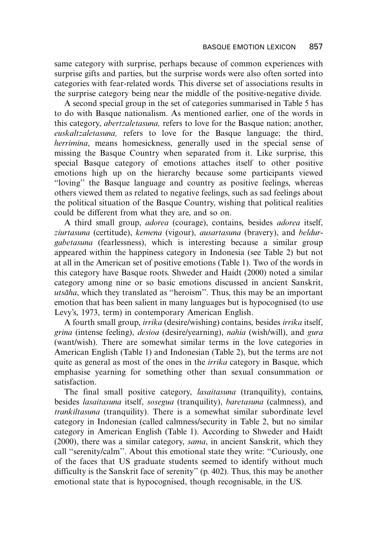same category with surprise, perhaps because of common experiences with surprise gifts and parties, but the surprise words were also often sorted into categories with fear-related words. This diverse set of associations results in the surprise category being near the middle of the positive-negative divide.

A second special group in the set of categories summarised in Table 5 has to do with Basque nationalism. As mentioned earlier, one of the words in this category, abertzaletasuna, refers to love for the Basque nation; another, euskaltzaletasuna, refers to love for the Basque language; the third, herrimina, means homesickness, generally used in the special sense of missing the Basque Country when separated from it. Like surprise, this special Basque category of emotions attaches itself to other positive emotions high up on the hierarchy because some participants viewed ''loving'' the Basque language and country as positive feelings, whereas others viewed them as related to negative feelings, such as sad feelings about the political situation of the Basque Country, wishing that political realities could be different from what they are, and so on.

A third small group, adorea (courage), contains, besides adorea itself, ziurtasuna (certitude), kemena (vigour), ausartasuna (bravery), and beldurgabetasuna (fearlessness), which is interesting because a similar group appeared within the happiness category in Indonesia (see Table 2) but not at all in the American set of positive emotions (Table 1). Two of the words in this category have Basque roots. Shweder and Haidt (2000) noted a similar category among nine or so basic emotions discussed in ancient Sanskrit, utsāha, which they translated as "heroism". Thus, this may be an important emotion that has been salient in many languages but is hypocognised (to use Levy's, 1973, term) in contemporary American English.

A fourth small group, irrika (desire/wishing) contains, besides irrika itself, grina (intense feeling), desioa (desire/yearning), nahia (wish/will), and gura (want/wish). There are somewhat similar terms in the love categories in American English (Table 1) and Indonesian (Table 2), but the terms are not quite as general as most of the ones in the *irrika* category in Basque, which emphasise yearning for something other than sexual consummation or satisfaction.

The final small positive category, *lasaitasuna* (tranquility), contains, besides lasaitasuna itself, sosegua (tranquility), baretasuna (calmness), and trankiltasuna (tranquility). There is a somewhat similar subordinate level category in Indonesian (called calmness/security in Table 2, but no similar category in American English (Table 1). According to Shweder and Haidt (2000), there was a similar category, sama, in ancient Sanskrit, which they call ''serenity/calm''. About this emotional state they write: ''Curiously, one of the faces that US graduate students seemed to identify without much difficulty is the Sanskrit face of serenity'' (p. 402). Thus, this may be another emotional state that is hypocognised, though recognisable, in the US.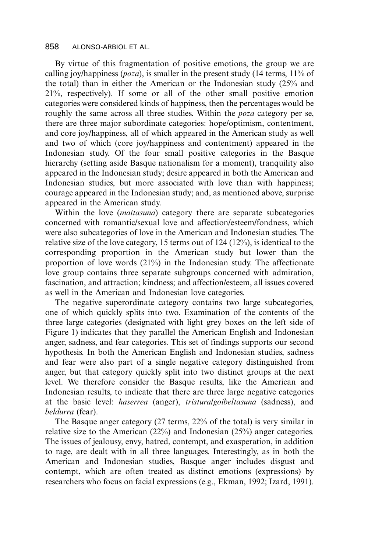By virtue of this fragmentation of positive emotions, the group we are calling joy/happiness ( $poza$ ), is smaller in the present study (14 terms, 11% of the total) than in either the American or the Indonesian study (25% and 21%, respectively). If some or all of the other small positive emotion categories were considered kinds of happiness, then the percentages would be roughly the same across all three studies. Within the *poza* category per se, there are three major subordinate categories: hope/optimism, contentment, and core joy/happiness, all of which appeared in the American study as well and two of which (core joy/happiness and contentment) appeared in the Indonesian study. Of the four small positive categories in the Basque hierarchy (setting aside Basque nationalism for a moment), tranquility also appeared in the Indonesian study; desire appeared in both the American and Indonesian studies, but more associated with love than with happiness; courage appeared in the Indonesian study; and, as mentioned above, surprise appeared in the American study.

Within the love (maitasuna) category there are separate subcategories concerned with romantic/sexual love and affection/esteem/fondness, which were also subcategories of love in the American and Indonesian studies. The relative size of the love category, 15 terms out of 124 (12%), is identical to the corresponding proportion in the American study but lower than the proportion of love words (21%) in the Indonesian study. The affectionate love group contains three separate subgroups concerned with admiration, fascination, and attraction; kindness; and affection/esteem, all issues covered as well in the American and Indonesian love categories.

The negative superordinate category contains two large subcategories, one of which quickly splits into two. Examination of the contents of the three large categories (designated with light grey boxes on the left side of Figure 1) indicates that they parallel the American English and Indonesian anger, sadness, and fear categories. This set of findings supports our second hypothesis. In both the American English and Indonesian studies, sadness and fear were also part of a single negative category distinguished from anger, but that category quickly split into two distinct groups at the next level. We therefore consider the Basque results, like the American and Indonesian results, to indicate that there are three large negative categories at the basic level: haserrea (anger), tristura/goibeltasuna (sadness), and beldurra (fear).

The Basque anger category (27 terms, 22% of the total) is very similar in relative size to the American (22%) and Indonesian (25%) anger categories. The issues of jealousy, envy, hatred, contempt, and exasperation, in addition to rage, are dealt with in all three languages. Interestingly, as in both the American and Indonesian studies, Basque anger includes disgust and contempt, which are often treated as distinct emotions (expressions) by researchers who focus on facial expressions (e.g., Ekman, 1992; Izard, 1991).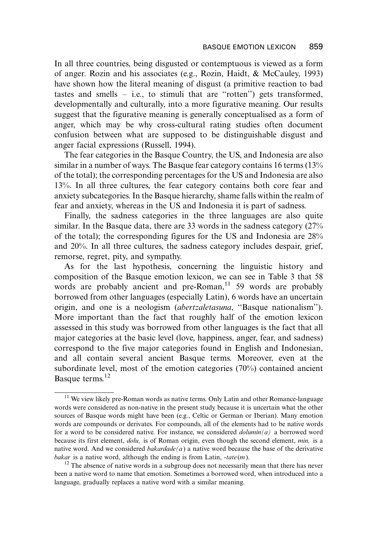In all three countries, being disgusted or contemptuous is viewed as a form of anger. Rozin and his associates (e.g., Rozin, Haidt, & McCauley, 1993) have shown how the literal meaning of disgust (a primitive reaction to bad tastes and smells  $-$  i.e., to stimuli that are "rotten") gets transformed, developmentally and culturally, into a more figurative meaning. Our results suggest that the figurative meaning is generally conceptualised as a form of anger, which may be why cross-cultural rating studies often document confusion between what are supposed to be distinguishable disgust and anger facial expressions (Russell, 1994).

The fear categories in the Basque Country, the US, and Indonesia are also similar in a number of ways. The Basque fear category contains 16 terms (13% of the total); the corresponding percentages for the US and Indonesia are also 13%. In all three cultures, the fear category contains both core fear and anxiety subcategories. In the Basque hierarchy, shame falls within the realm of fear and anxiety, whereas in the US and Indonesia it is part of sadness.

Finally, the sadness categories in the three languages are also quite similar. In the Basque data, there are 33 words in the sadness category (27%) of the total); the corresponding figures for the US and Indonesia are 28% and 20%. In all three cultures, the sadness category includes despair, grief, remorse, regret, pity, and sympathy.

As for the last hypothesis, concerning the linguistic history and composition of the Basque emotion lexicon, we can see in Table 3 that 58 words are probably ancient and pre-Roman,<sup>11</sup> 59 words are probably borrowed from other languages (especially Latin), 6 words have an uncertain origin, and one is a neologism (abertzaletasuna, ''Basque nationalism''). More important than the fact that roughly half of the emotion lexicon assessed in this study was borrowed from other languages is the fact that all major categories at the basic level (love, happiness, anger, fear, and sadness) correspond to the five major categories found in English and Indonesian, and all contain several ancient Basque terms. Moreover, even at the subordinate level, most of the emotion categories (70%) contained ancient Basque terms.<sup>12</sup>

 $11$  We view likely pre-Roman words as native terms. Only Latin and other Romance-language words were considered as non-native in the present study because it is uncertain what the other sources of Basque words might have been (e.g., Celtic or German or Iberian). Many emotion words are compounds or derivates. For compounds, all of the elements had to be native words for a word to be considered native. For instance, we considered  $\delta$ olumin(a) a borrowed word because its first element, *dolu*, is of Roman origin, even though the second element, *min*, is a native word. And we considered *bakardade(a)* a native word because the base of the derivative bakar is a native word, although the ending is from Latin, -tate  $(m)$ .<br><sup>12</sup> The absence of native words in a subgroup does not necessarily mean that there has never

been a native word to name that emotion. Sometimes a borrowed word, when introduced into a language, gradually replaces a native word with a similar meaning.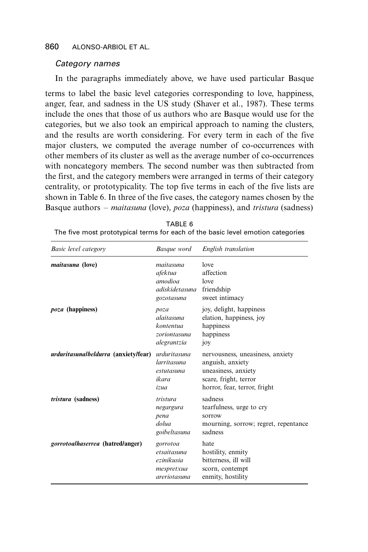#### Category names

In the paragraphs immediately above, we have used particular Basque

terms to label the basic level categories corresponding to love, happiness, anger, fear, and sadness in the US study (Shaver et al., 1987). These terms include the ones that those of us authors who are Basque would use for the categories, but we also took an empirical approach to naming the clusters, and the results are worth considering. For every term in each of the five major clusters, we computed the average number of co-occurrences with other members of its cluster as well as the average number of co-occurrences with noncategory members. The second number was then subtracted from the first, and the category members were arranged in terms of their category centrality, or prototypicality. The top five terms in each of the five lists are shown in Table 6. In three of the five cases, the category names chosen by the Basque authors – *maitasuna* (love), *poza* (happiness), and *tristura* (sadness)

| <b>Basic level category</b>          | Basque word                                                         | English translation                                                                                                                  |
|--------------------------------------|---------------------------------------------------------------------|--------------------------------------------------------------------------------------------------------------------------------------|
| maitasuna (love)                     | maitasuna<br>afektua<br>amodioa<br>adiskidetasuna<br>gozotasuna     | love<br>affection<br>love<br>friendship<br>sweet intimacy                                                                            |
| <i>poza</i> (happiness)              | poza<br>alaitasuna<br>kontentua<br>zoriontasuna<br>alegrantzia      | joy, delight, happiness<br>elation, happiness, joy<br>happiness<br>happiness<br>joy                                                  |
| urduritasunalbeldurra (anxiety/fear) | urduritasuna<br>larritasuna<br>estutasuna<br>ikara<br>izua          | nervousness, uneasiness, anxiety<br>anguish, anxiety<br>uneasiness, anxiety<br>scare, fright, terror<br>horror, fear, terror, fright |
| tristura (sadness)                   | tristura<br>negargura<br>pena<br>dolua<br>goibeltasuna              | sadness<br>tearfulness, urge to cry<br>sorrow<br>mourning, sorrow; regret, repentance<br>sadness                                     |
| gorrotoalhaserrea (hatred/anger)     | gorrotoa<br>etsaitasuna<br>ezinikusia<br>mespretxua<br>areriotasuna | hate<br>hostility, enmity<br>bitterness, ill will<br>scorn, contempt<br>enmity, hostility                                            |

TABLE 6 The five most prototypical terms for each of the basic level emotion categories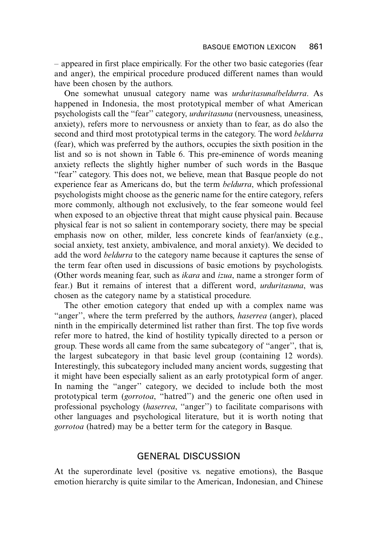appeared in first place empirically. For the other two basic categories (fear and anger), the empirical procedure produced different names than would have been chosen by the authors.

One somewhat unusual category name was urduritasuna/beldurra. As happened in Indonesia, the most prototypical member of what American psychologists call the "fear" category, urduritasuna (nervousness, uneasiness, anxiety), refers more to nervousness or anxiety than to fear, as do also the second and third most prototypical terms in the category. The word beldurra (fear), which was preferred by the authors, occupies the sixth position in the list and so is not shown in Table 6. This pre-eminence of words meaning anxiety reflects the slightly higher number of such words in the Basque ''fear'' category. This does not, we believe, mean that Basque people do not experience fear as Americans do, but the term beldurra, which professional psychologists might choose as the generic name for the entire category, refers more commonly, although not exclusively, to the fear someone would feel when exposed to an objective threat that might cause physical pain. Because physical fear is not so salient in contemporary society, there may be special emphasis now on other, milder, less concrete kinds of fear/anxiety (e.g., social anxiety, test anxiety, ambivalence, and moral anxiety). We decided to add the word beldurra to the category name because it captures the sense of the term fear often used in discussions of basic emotions by psychologists. (Other words meaning fear, such as ikara and izua, name a stronger form of fear.) But it remains of interest that a different word, urduritasuna, was chosen as the category name by a statistical procedure.

The other emotion category that ended up with a complex name was ''anger'', where the term preferred by the authors, haserrea (anger), placed ninth in the empirically determined list rather than first. The top five words refer more to hatred, the kind of hostility typically directed to a person or group. These words all came from the same subcategory of ''anger'', that is, the largest subcategory in that basic level group (containing 12 words). Interestingly, this subcategory included many ancient words, suggesting that it might have been especially salient as an early prototypical form of anger. In naming the ''anger'' category, we decided to include both the most prototypical term (gorrotoa, ''hatred'') and the generic one often used in professional psychology (haserrea, ''anger'') to facilitate comparisons with other languages and psychological literature, but it is worth noting that gorrotoa (hatred) may be a better term for the category in Basque.

# GENERAL DISCUSSION

At the superordinate level (positive vs. negative emotions), the Basque emotion hierarchy is quite similar to the American, Indonesian, and Chinese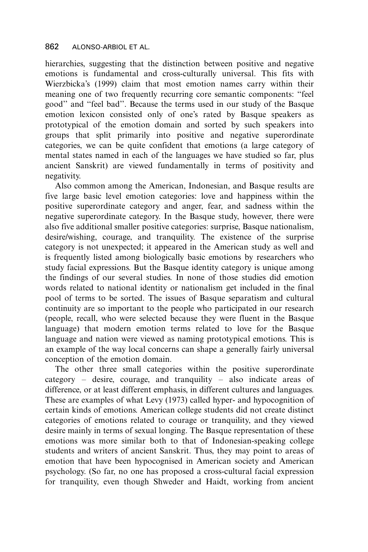hierarchies, suggesting that the distinction between positive and negative emotions is fundamental and cross-culturally universal. This fits with Wierzbicka's (1999) claim that most emotion names carry within their meaning one of two frequently recurring core semantic components: ''feel good'' and ''feel bad''. Because the terms used in our study of the Basque emotion lexicon consisted only of one's rated by Basque speakers as prototypical of the emotion domain and sorted by such speakers into groups that split primarily into positive and negative superordinate categories, we can be quite confident that emotions (a large category of mental states named in each of the languages we have studied so far, plus ancient Sanskrit) are viewed fundamentally in terms of positivity and negativity.

Also common among the American, Indonesian, and Basque results are five large basic level emotion categories: love and happiness within the positive superordinate category and anger, fear, and sadness within the negative superordinate category. In the Basque study, however, there were also five additional smaller positive categories: surprise, Basque nationalism, desire/wishing, courage, and tranquility. The existence of the surprise category is not unexpected; it appeared in the American study as well and is frequently listed among biologically basic emotions by researchers who study facial expressions. But the Basque identity category is unique among the findings of our several studies. In none of those studies did emotion words related to national identity or nationalism get included in the final pool of terms to be sorted. The issues of Basque separatism and cultural continuity are so important to the people who participated in our research (people, recall, who were selected because they were fluent in the Basque language) that modern emotion terms related to love for the Basque language and nation were viewed as naming prototypical emotions. This is an example of the way local concerns can shape a generally fairly universal conception of the emotion domain.

The other three small categories within the positive superordinate category – desire, courage, and tranquility – also indicate areas of difference, or at least different emphasis, in different cultures and languages. These are examples of what Levy (1973) called hyper- and hypocognition of certain kinds of emotions. American college students did not create distinct categories of emotions related to courage or tranquility, and they viewed desire mainly in terms of sexual longing. The Basque representation of these emotions was more similar both to that of Indonesian-speaking college students and writers of ancient Sanskrit. Thus, they may point to areas of emotion that have been hypocognised in American society and American psychology. (So far, no one has proposed a cross-cultural facial expression for tranquility, even though Shweder and Haidt, working from ancient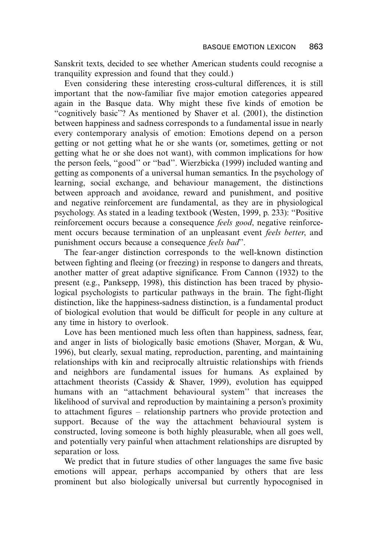Sanskrit texts, decided to see whether American students could recognise a tranquility expression and found that they could.)

Even considering these interesting cross-cultural differences, it is still important that the now-familiar five major emotion categories appeared again in the Basque data. Why might these five kinds of emotion be ''cognitively basic''? As mentioned by Shaver et al. (2001), the distinction between happiness and sadness corresponds to a fundamental issue in nearly every contemporary analysis of emotion: Emotions depend on a person getting or not getting what he or she wants (or, sometimes, getting or not getting what he or she does not want), with common implications for how the person feels, ''good'' or ''bad''. Wierzbicka (1999) included wanting and getting as components of a universal human semantics. In the psychology of learning, social exchange, and behaviour management, the distinctions between approach and avoidance, reward and punishment, and positive and negative reinforcement are fundamental, as they are in physiological psychology. As stated in a leading textbook (Westen, 1999, p. 233): ''Positive reinforcement occurs because a consequence *feels good*, negative reinforcement occurs because termination of an unpleasant event *feels better*, and punishment occurs because a consequence feels bad''.

The fear-anger distinction corresponds to the well-known distinction between fighting and fleeing (or freezing) in response to dangers and threats, another matter of great adaptive significance. From Cannon (1932) to the present (e.g., Panksepp, 1998), this distinction has been traced by physiological psychologists to particular pathways in the brain. The fight-flight distinction, like the happiness-sadness distinction, is a fundamental product of biological evolution that would be difficult for people in any culture at any time in history to overlook.

Love has been mentioned much less often than happiness, sadness, fear, and anger in lists of biologically basic emotions (Shaver, Morgan, & Wu, 1996), but clearly, sexual mating, reproduction, parenting, and maintaining relationships with kin and reciprocally altruistic relationships with friends and neighbors are fundamental issues for humans. As explained by attachment theorists (Cassidy & Shaver, 1999), evolution has equipped humans with an ''attachment behavioural system'' that increases the likelihood of survival and reproduction by maintaining a person's proximity to attachment figures relationship partners who provide protection and support. Because of the way the attachment behavioural system is constructed, loving someone is both highly pleasurable, when all goes well, and potentially very painful when attachment relationships are disrupted by separation or loss.

We predict that in future studies of other languages the same five basic emotions will appear, perhaps accompanied by others that are less prominent but also biologically universal but currently hypocognised in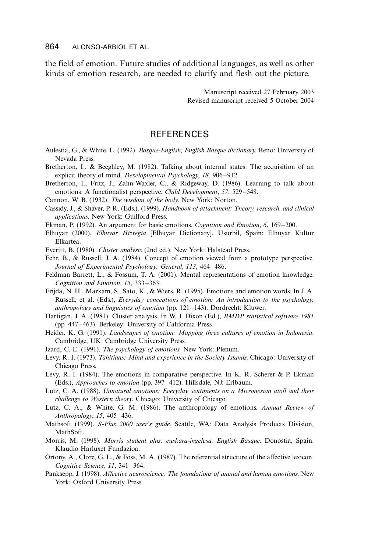the field of emotion. Future studies of additional languages, as well as other kinds of emotion research, are needed to clarify and flesh out the picture.

> Manuscript received 27 February 2003 Revised manuscript received 5 October 2004

## **REFERENCES**

- Aulestia, G., & White, L. (1992). Basque-English, English Basque dictionary. Reno: University of Nevada Press.
- Bretherton, I., & Beeghley, M. (1982). Talking about internal states: The acquisition of an explicit theory of mind. Developmental Psychology, 18, 906-912.
- Bretherton, I., Fritz, J., Zahn-Waxler, C., & Ridgeway, D. (1986). Learning to talk about emotions: A functionalist perspective. Child Development, 57, 529-548.
- Cannon, W. B. (1932). The wisdom of the body. New York: Norton.
- Cassidy, J., & Shaver, P. R. (Eds.). (1999). Handbook of attachment: Theory, research, and clinical applications. New York: Guilford Press.
- Ekman, P. (1992). An argument for basic emotions. Cognition and Emotion, 6, 169-200.
- Elhuyar (2000). Elhuyar Hiztegia [Elhuyar Dictionary]. Usurbil, Spain: Elhuyar Kultur Elkartea.
- Everitt, B. (1980). Cluster analysis (2nd ed.). New York: Halstead Press.
- Fehr, B., & Russell, J. A. (1984). Concept of emotion viewed from a prototype perspective. Journal of Experimental Psychology: General, 113, 464-486.
- Feldman Barrett, L., & Fossum, T. A. (2001). Mental representations of emotion knowledge. Cognition and Emotion,  $15$ ,  $333-363$ .
- Frijda, N. H., Markam, S., Sato, K., & Wiers, R. (1995). Emotions and emotion words. In J. A. Russell, et al. (Eds.), Everyday conceptions of emotion: An introduction to the psychology, anthropology and linguistics of emotion (pp.  $121-143$ ). Dordrecht: Kluwer.
- Hartigan, J. A. (1981). Cluster analysis. In W. J. Dixon (Ed.), *BMDP statistical software 1981* (pp. 447-463). Berkeley: University of California Press.
- Heider, K. G. (1991). Landscapes of emotion: Mapping three cultures of emotion in Indonesia. Cambridge, UK: Cambridge University Press.
- Izard, C. E. (1991). The psychology of emotions. New York: Plenum.
- Levy, R. I. (1973). Tahitians: Mind and experience in the Society Islands. Chicago: University of Chicago Press.
- Levy, R. I. (1984). The emotions in comparative perspective. In K. R. Scherer & P. Ekman (Eds.), Approaches to emotion (pp. 397-412). Hillsdale, NJ: Erlbaum.
- Lutz, C. A. (1988). Unnatural emotions: Everyday sentiments on a Micronesian atoll and their challenge to Western theory. Chicago: University of Chicago.
- Lutz, C. A., & White, G. M. (1986). The anthropology of emotions. Annual Review of Anthropology, 15, 405-436.
- Mathsoft (1999). S-Plus 2000 user's guide. Seattle, WA: Data Analysis Products Division, MathSoft.
- Morris, M. (1998). Morris student plus: euskara-ingelesa, English Basque. Donostia, Spain: Klaudio Harluxet Fundazioa.
- Ortony, A., Clore, G. L., & Foss, M. A. (1987). The referential structure of the affective lexicon. Cognitive Science,  $11$ ,  $341-364$ .
- Panksepp, J. (1998). Affective neuroscience: The foundations of animal and human emotions. New York: Oxford University Press.